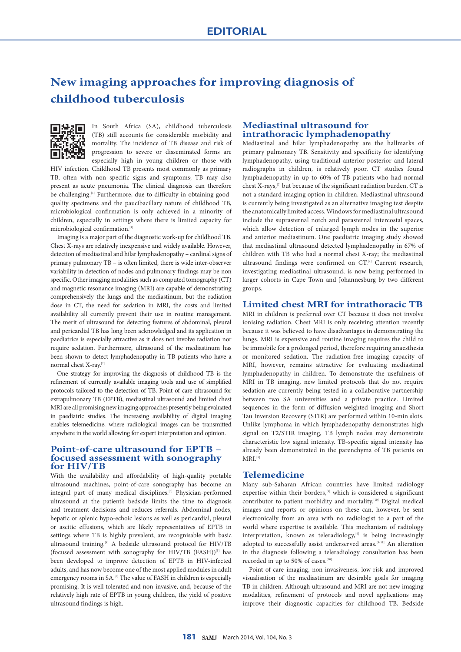# **New imaging approaches for improving diagnosis of childhood tuberculosis**



In South Africa (SA), childhood tuberculosis (TB) still accounts for considerable morbidity and mortality. The incidence of TB disease and risk of progression to severe or disseminated forms are especially high in young children or those with

HIV infection. Childhood TB presents most commonly as primary TB, often with non specific signs and symptoms; TB may also present as acute pneumonia. The clinical diagnosis can therefore be challenging.<sup>[1]</sup> Furthermore, due to difficulty in obtaining goodquality specimens and the paucibacillary nature of childhood TB, microbiological confirmation is only achieved in a minority of children, especially in settings where there is limited capacity for microbiological confirmation.[1]

Imaging is a major part of the diagnostic work-up for childhood TB. Chest X-rays are relatively inexpensive and widely available. However, detection of mediastinal and hilar lymphadenopathy – cardinal signs of primary pulmonary TB – is often limited, there is wide inter-observer variability in detection of nodes and pulmonary findings may be non specific. Other imaging modalities such as computed tomography (CT) and magnetic resonance imaging (MRI) are capable of demonstrating comprehensively the lungs and the mediastinum, but the radiation dose in CT, the need for sedation in MRI, the costs and limited availability all currently prevent their use in routine management. The merit of ultrasound for detecting features of abdominal, pleural and pericardial TB has long been acknowledged and its application in paediatrics is especially attractive as it does not involve radiation nor require sedation. Furthermore, ultrasound of the mediastinum has been shown to detect lymphadenopathy in TB patients who have a normal chest X-ray.[2]

One strategy for improving the diagnosis of childhood TB is the refinement of currently available imaging tools and use of simplified protocols tailored to the detection of TB. Point-of-care ultrasound for extrapulmonary TB (EPTB), mediastinal ultrasound and limited chest MRI are all promising new imaging approaches presently being evaluated in paediatric studies. The increasing availability of digital imaging enables telemedicine, where radiological images can be transmitted anywhere in the world allowing for expert interpretation and opinion.

## **Point-of-care ultrasound for EPTB – focused assessment with sonography for HIV/TB**

With the availability and affordability of high-quality portable ultrasound machines, point-of-care sonography has become an integral part of many medical disciplines.[3] Physician-performed ultrasound at the patient's bedside limits the time to diagnosis and treatment decisions and reduces referrals. Abdominal nodes, hepatic or splenic hypo-echoic lesions as well as pericardial, pleural or ascitic effusions, which are likely representatives of EPTB in settings where TB is highly prevalent, are recognisable with basic ultrasound training.[4] A bedside ultrasound protocol for HIV/TB (focused assessment with sonography for HIV/TB (FASH))<sup>[5]</sup> has been developed to improve detection of EPTB in HIV-infected adults, and has now become one of the most applied modules in adult emergency rooms in SA.<sup>[6]</sup> The value of FASH in children is especially promising. It is well tolerated and non-invasive, and, because of the relatively high rate of EPTB in young children, the yield of positive ultrasound findings is high.

## **Mediastinal ultrasound for intrathoracic lymphadenopathy**

Mediastinal and hilar lymphadenopathy are the hallmarks of primary pulmonary TB. Sensitivity and specificity for identifying lymphadenopathy, using traditional anterior-posterior and lateral radiographs in children, is relatively poor. CT studies found lymphadenopathy in up to 60% of TB patients who had normal chest X-rays,[7] but because of the significant radiation burden, CT is not a standard imaging option in children. Mediastinal ultrasound is currently being investigated as an alternative imaging test despite the anatomically limited access. Windows for mediastinal ultrasound include the suprasternal notch and parasternal intercostal spaces, which allow detection of enlarged lymph nodes in the superior and anterior mediastinum. One paediatric imaging study showed that mediastinal ultrasound detected lymphadenopathy in 67% of children with TB who had a normal chest X-ray; the mediastinal ultrasound findings were confirmed on CT.<sup>[2]</sup> Current research, investigating mediastinal ultrasound, is now being performed in larger cohorts in Cape Town and Johannesburg by two different groups.

## **Limited chest MRI for intrathoracic TB**

MRI in children is preferred over CT because it does not involve ionising radiation. Chest MRI is only receiving attention recently because it was believed to have disadvantages in demonstrating the lungs. MRI is expensive and routine imaging requires the child to be immobile for a prolonged period, therefore requiring anaesthesia or monitored sedation. The radiation-free imaging capacity of MRI, however, remains attractive for evaluating mediastinal lymphadenopathy in children. To demonstrate the usefulness of MRI in TB imaging, new limited protocols that do not require sedation are currently being tested in a collaborative partnership between two SA universities and a private practice. Limited sequences in the form of diffusion-weighted imaging and Short Tau Inversion Recovery (STIR) are performed within 10-min slots. Unlike lymphoma in which lymphadenopathy demonstrates high signal on T2/STIR imaging, TB lymph nodes may demonstrate characteristic low signal intensity. TB-specific signal intensity has already been demonstrated in the parenchyma of TB patients on  $MRI.$ <sup>[8]</sup>

### **Telemedicine**

Many sub-Saharan African countries have limited radiology expertise within their borders,<sup>[9]</sup> which is considered a significant contributor to patient morbidity and mortality.[10] Digital medical images and reports or opinions on these can, however, be sent electronically from an area with no radiologist to a part of the world where expertise is available. This mechanism of radiology interpretation, known as teleradiology,<sup>[9]</sup> is being increasingly adopted to successfully assist underserved areas.<sup>[9-11]</sup> An alteration in the diagnosis following a teleradiology consultation has been recorded in up to 50% of cases.<sup>[10]</sup>

Point-of-care imaging, non-invasiveness, low-risk and improved visualisation of the mediastinum are desirable goals for imaging TB in children. Although ultrasound and MRI are not new imaging modalities, refinement of protocols and novel applications may improve their diagnostic capacities for childhood TB. Bedside